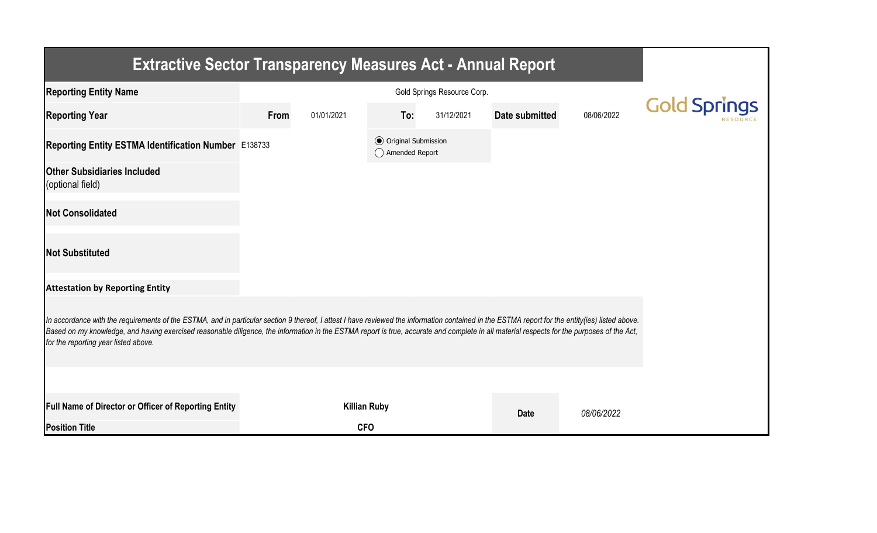| <b>Extractive Sector Transparency Measures Act - Annual Report</b>                                                                                                                                                                                                                                                                                                                                                                    |      |                     |                                                  |            |                |            |                     |  |  |  |
|---------------------------------------------------------------------------------------------------------------------------------------------------------------------------------------------------------------------------------------------------------------------------------------------------------------------------------------------------------------------------------------------------------------------------------------|------|---------------------|--------------------------------------------------|------------|----------------|------------|---------------------|--|--|--|
| <b>Reporting Entity Name</b>                                                                                                                                                                                                                                                                                                                                                                                                          |      |                     |                                                  |            |                |            |                     |  |  |  |
| <b>Reporting Year</b>                                                                                                                                                                                                                                                                                                                                                                                                                 | From | 01/01/2021          | To:                                              | 31/12/2021 | Date submitted | 08/06/2022 | <b>Gold Springs</b> |  |  |  |
| Reporting Entity ESTMA Identification Number E138733                                                                                                                                                                                                                                                                                                                                                                                  |      |                     | <b>◎</b> Original Submission<br>◯ Amended Report |            |                |            |                     |  |  |  |
| <b>Other Subsidiaries Included</b><br>(optional field)                                                                                                                                                                                                                                                                                                                                                                                |      |                     |                                                  |            |                |            |                     |  |  |  |
| <b>Not Consolidated</b>                                                                                                                                                                                                                                                                                                                                                                                                               |      |                     |                                                  |            |                |            |                     |  |  |  |
| <b>Not Substituted</b>                                                                                                                                                                                                                                                                                                                                                                                                                |      |                     |                                                  |            |                |            |                     |  |  |  |
| <b>Attestation by Reporting Entity</b>                                                                                                                                                                                                                                                                                                                                                                                                |      |                     |                                                  |            |                |            |                     |  |  |  |
| In accordance with the requirements of the ESTMA, and in particular section 9 thereof, I attest I have reviewed the information contained in the ESTMA report for the entity(ies) listed above.<br>Based on my knowledge, and having exercised reasonable diligence, the information in the ESTMA report is true, accurate and complete in all material respects for the purposes of the Act,<br>for the reporting year listed above. |      |                     |                                                  |            |                |            |                     |  |  |  |
|                                                                                                                                                                                                                                                                                                                                                                                                                                       |      |                     |                                                  |            |                |            |                     |  |  |  |
| Full Name of Director or Officer of Reporting Entity                                                                                                                                                                                                                                                                                                                                                                                  |      | <b>Killian Ruby</b> |                                                  |            | <b>Date</b>    | 08/06/2022 |                     |  |  |  |
| <b>Position Title</b>                                                                                                                                                                                                                                                                                                                                                                                                                 |      | <b>CFO</b>          |                                                  |            |                |            |                     |  |  |  |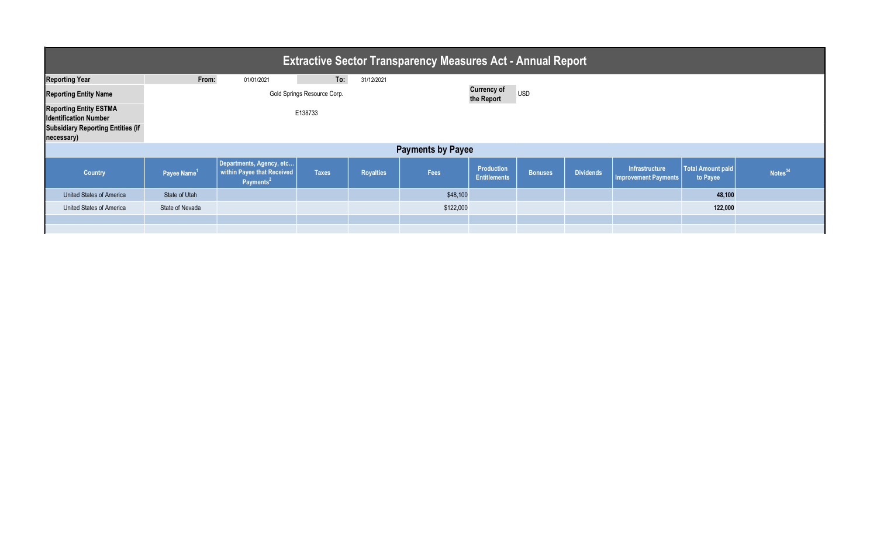| <b>Extractive Sector Transparency Measures Act - Annual Report</b> |                             |                                                                                 |              |                  |           |                                                |                |                  |                                               |                               |                     |  |
|--------------------------------------------------------------------|-----------------------------|---------------------------------------------------------------------------------|--------------|------------------|-----------|------------------------------------------------|----------------|------------------|-----------------------------------------------|-------------------------------|---------------------|--|
| <b>Reporting Year</b>                                              | From:                       | 01/01/2021                                                                      | To:          | 31/12/2021       |           |                                                |                |                  |                                               |                               |                     |  |
| <b>Reporting Entity Name</b>                                       | Gold Springs Resource Corp. |                                                                                 |              |                  |           | <b>Currency of</b><br><b>USD</b><br>the Report |                |                  |                                               |                               |                     |  |
| <b>Reporting Entity ESTMA</b><br><b>Identification Number</b>      | E138733                     |                                                                                 |              |                  |           |                                                |                |                  |                                               |                               |                     |  |
| <b>Subsidiary Reporting Entities (if</b><br>necessary)             |                             |                                                                                 |              |                  |           |                                                |                |                  |                                               |                               |                     |  |
| <b>Payments by Payee</b>                                           |                             |                                                                                 |              |                  |           |                                                |                |                  |                                               |                               |                     |  |
| <b>Country</b>                                                     | Payee Name <sup>1</sup>     | Departments, Agency, etc<br>within Payee that Received<br>Payments <sup>2</sup> | <b>Taxes</b> | <b>Royalties</b> | Fees      | <b>Production</b><br><b>Entitlements</b>       | <b>Bonuses</b> | <b>Dividends</b> | Infrastructure<br><b>Improvement Payments</b> | Total Amount paid<br>to Payee | Notes <sup>34</sup> |  |
| United States of America                                           | State of Utah               |                                                                                 |              |                  | \$48,100  |                                                |                |                  |                                               | 48,100                        |                     |  |
| United States of America                                           | State of Nevada             |                                                                                 |              |                  | \$122,000 |                                                |                |                  |                                               | 122,000                       |                     |  |
|                                                                    |                             |                                                                                 |              |                  |           |                                                |                |                  |                                               |                               |                     |  |